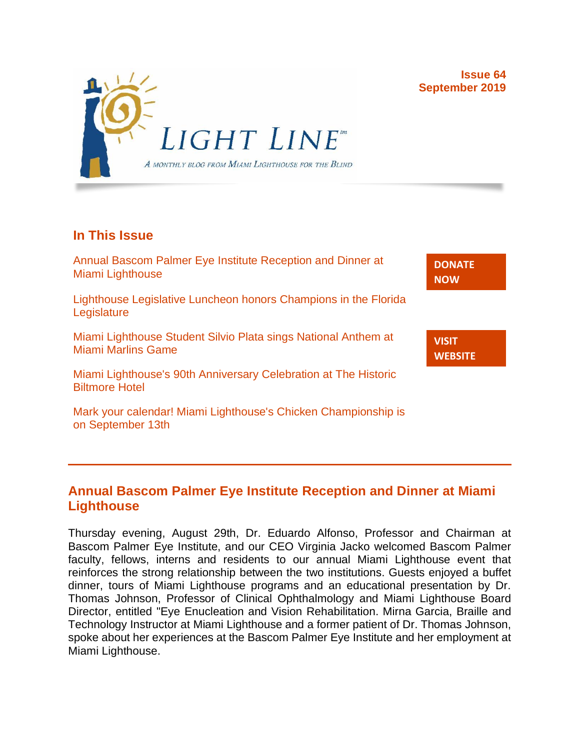**Issue 64 September 2019**

> **[DONATE](http://r20.rs6.net/tn.jsp?f=001gO2GdS4FPEo240mg91k3c6HYN6ozMk69i8vrHipkUVt0nirc6iRjFsnZMWQfGpPyX5jA608dzGsffulXhDWN87JpF0RNMOsrEiEcR9KIVEjaVePiHS9eny3wE9Zh3DibFuDj7zvtMQCXwVbtALXi3_cnEJaT8XURz8jTt9N4yGe0rF3VoM8Y5mGhwRavYQ9CBe_fM4GbcQM=&c=A5xWHdmKDISdqoVssYAkMfhtdAlzuVskAHp3ASewWzRv5OnB7XubeA==&ch=KFi9wV6k5Z13Ef8Qia4fM-L584mfsNs0RWKjkNv-Bombmn4mZKg5Lw==) NOW**

**VISIT [WEBSITE](http://r20.rs6.net/tn.jsp?f=001gO2GdS4FPEo240mg91k3c6HYN6ozMk69i8vrHipkUVt0nirc6iRjFp5OLUPp5xz8iJ7cM7NxB4ho-pmJZegg-UUCCff2BfEg0hVFNWmithw5L76cpbdpMlw1ZgIRlQC6OwIp0zOZvc1jcAvQYtup6ODb3HvWFX4_CFaBZinytweEHJSIK44w1g==&c=A5xWHdmKDISdqoVssYAkMfhtdAlzuVskAHp3ASewWzRv5OnB7XubeA==&ch=KFi9wV6k5Z13Ef8Qia4fM-L584mfsNs0RWKjkNv-Bombmn4mZKg5Lw==)**



## **In This Issue**

[Annual Bascom Palmer Eye Institute Reception and Dinner at](https://mail.google.com/mail/u/0/#m_-5414534186809034641_LETTER.BLOCK9)  [Miami Lighthouse](https://mail.google.com/mail/u/0/#m_-5414534186809034641_LETTER.BLOCK9)

[Lighthouse Legislative Luncheon honors Champions in the Florida](https://mail.google.com/mail/u/0/#m_-5414534186809034641_LETTER.BLOCK11)  **[Legislature](https://mail.google.com/mail/u/0/#m_-5414534186809034641_LETTER.BLOCK11)** 

[Miami Lighthouse Student Silvio Plata sings National Anthem at](https://mail.google.com/mail/u/0/#m_-5414534186809034641_LETTER.BLOCK13)  [Miami Marlins Game](https://mail.google.com/mail/u/0/#m_-5414534186809034641_LETTER.BLOCK13)

[Miami Lighthouse's 90th Anniversary Celebration at The Historic](https://mail.google.com/mail/u/0/#m_-5414534186809034641_LETTER.BLOCK15)  [Biltmore Hotel](https://mail.google.com/mail/u/0/#m_-5414534186809034641_LETTER.BLOCK15)

[Mark your calendar! Miami Lighthouse's Chicken Championship is](https://mail.google.com/mail/u/0/#m_-5414534186809034641_LETTER.BLOCK17)  [on September 13th](https://mail.google.com/mail/u/0/#m_-5414534186809034641_LETTER.BLOCK17)

### **Annual Bascom Palmer Eye Institute Reception and Dinner at Miami Lighthouse**

Thursday evening, August 29th, Dr. Eduardo Alfonso, Professor and Chairman at Bascom Palmer Eye Institute, and our CEO Virginia Jacko welcomed Bascom Palmer faculty, fellows, interns and residents to our annual Miami Lighthouse event that reinforces the strong relationship between the two institutions. Guests enjoyed a buffet dinner, tours of Miami Lighthouse programs and an educational presentation by Dr. Thomas Johnson, Professor of Clinical Ophthalmology and Miami Lighthouse Board Director, entitled "Eye Enucleation and Vision Rehabilitation. Mirna Garcia, Braille and Technology Instructor at Miami Lighthouse and a former patient of Dr. Thomas Johnson, spoke about her experiences at the Bascom Palmer Eye Institute and her employment at Miami Lighthouse.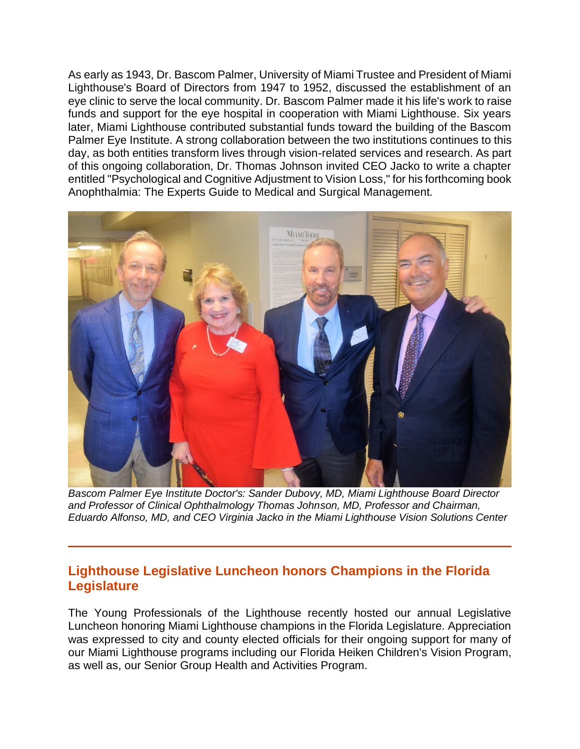As early as 1943, Dr. Bascom Palmer, University of Miami Trustee and President of Miami Lighthouse's Board of Directors from 1947 to 1952, discussed the establishment of an eye clinic to serve the local community. Dr. Bascom Palmer made it his life's work to raise funds and support for the eye hospital in cooperation with Miami Lighthouse. Six years later, Miami Lighthouse contributed substantial funds toward the building of the Bascom Palmer Eye Institute. A strong collaboration between the two institutions continues to this day, as both entities transform lives through vision-related services and research. As part of this ongoing collaboration, Dr. Thomas Johnson invited CEO Jacko to write a chapter entitled "Psychological and Cognitive Adjustment to Vision Loss," for his forthcoming book Anophthalmia: The Experts Guide to Medical and Surgical Management.



*Bascom Palmer Eye Institute Doctor's: Sander Dubovy, MD, Miami Lighthouse Board Director and Professor of Clinical Ophthalmology Thomas Johnson, MD, Professor and Chairman, Eduardo Alfonso, MD, and CEO Virginia Jacko in the Miami Lighthouse Vision Solutions Center*

### **Lighthouse Legislative Luncheon honors Champions in the Florida Legislature**

The Young Professionals of the Lighthouse recently hosted our annual Legislative Luncheon honoring Miami Lighthouse champions in the Florida Legislature. Appreciation was expressed to city and county elected officials for their ongoing support for many of our Miami Lighthouse programs including our Florida Heiken Children's Vision Program, as well as, our Senior Group Health and Activities Program.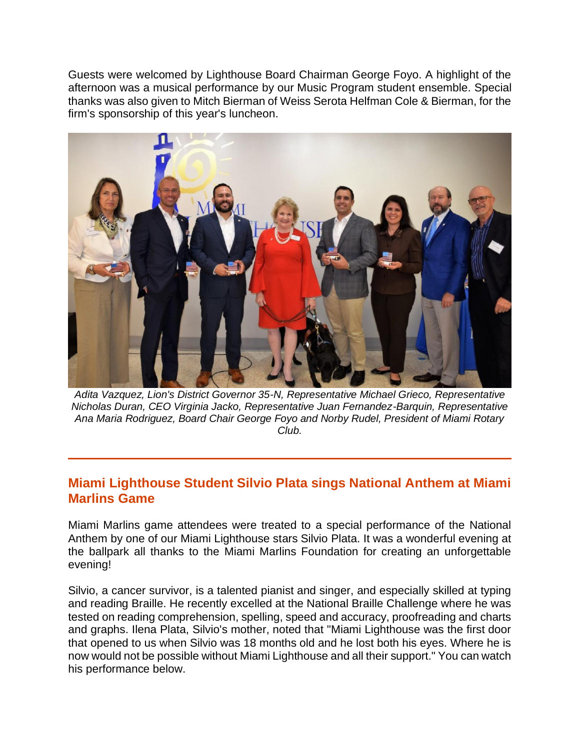Guests were welcomed by Lighthouse Board Chairman George Foyo. A highlight of the afternoon was a musical performance by our Music Program student ensemble. Special thanks was also given to Mitch Bierman of Weiss Serota Helfman Cole & Bierman, for the firm's sponsorship of this year's luncheon.



*Adita Vazquez, Lion's District Governor 35-N, Representative Michael Grieco, Representative Nicholas Duran, CEO Virginia Jacko, Representative Juan Fernandez-Barquin, Representative Ana Maria Rodriguez, Board Chair George Foyo and Norby Rudel, President of Miami Rotary Club.*

#### **Miami Lighthouse Student Silvio Plata sings National Anthem at Miami Marlins Game**

Miami Marlins game attendees were treated to a special performance of the National Anthem by one of our Miami Lighthouse stars Silvio Plata. It was a wonderful evening at the ballpark all thanks to the Miami Marlins Foundation for creating an unforgettable evening!

Silvio, a cancer survivor, is a talented pianist and singer, and especially skilled at typing and reading Braille. He recently excelled at the National Braille Challenge where he was tested on reading comprehension, spelling, speed and accuracy, proofreading and charts and graphs. Ilena Plata, Silvio's mother, noted that "Miami Lighthouse was the first door that opened to us when Silvio was 18 months old and he lost both his eyes. Where he is now would not be possible without Miami Lighthouse and all their support." You can watch his performance below.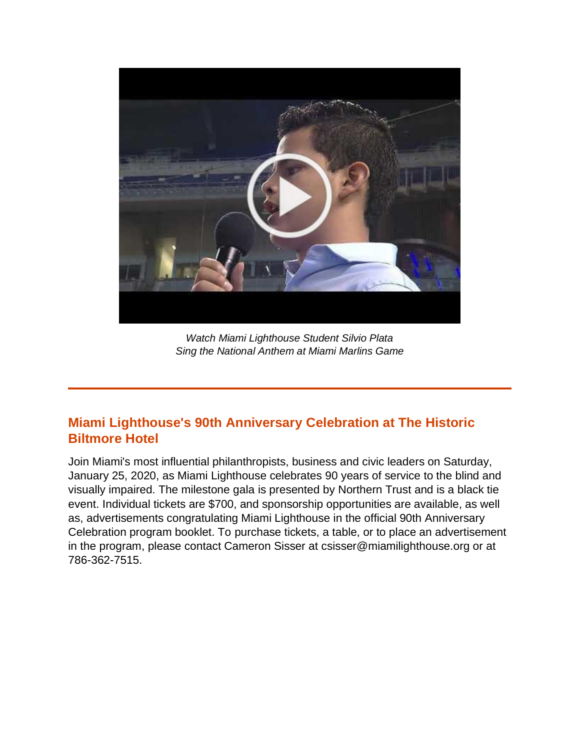

*Watch Miami Lighthouse Student Silvio Plata Sing the National Anthem at Miami Marlins Game*

## **Miami Lighthouse's 90th Anniversary Celebration at The Historic Biltmore Hotel**

Join Miami's most influential philanthropists, business and civic leaders on Saturday, January 25, 2020, as Miami Lighthouse celebrates 90 years of service to the blind and visually impaired. The milestone gala is presented by Northern Trust and is a black tie event. Individual tickets are \$700, and sponsorship opportunities are available, as well as, advertisements congratulating Miami Lighthouse in the official 90th Anniversary Celebration program booklet. To purchase tickets, a table, or to place an advertisement in the program, please contact Cameron Sisser at csisser@miamilighthouse.org or at 786-362-7515.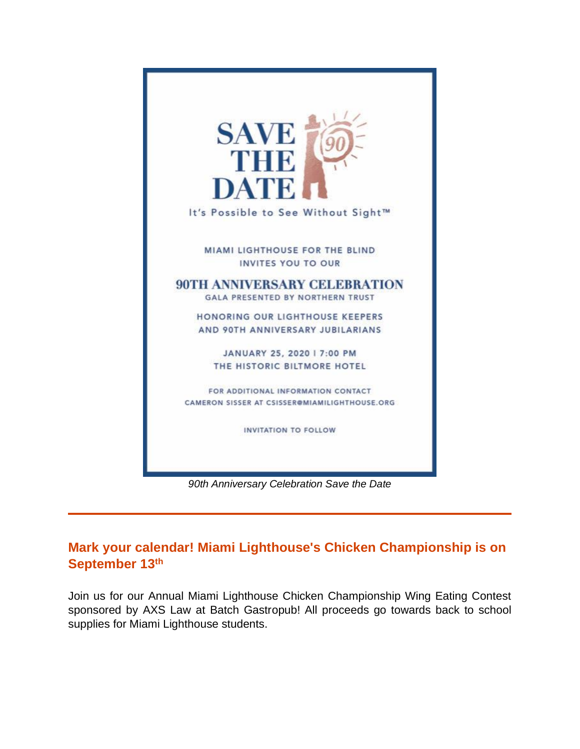

*90th Anniversary Celebration Save the Date*

# **Mark your calendar! Miami Lighthouse's Chicken Championship is on September 13th**

Join us for our Annual Miami Lighthouse Chicken Championship Wing Eating Contest sponsored by AXS Law at Batch Gastropub! All proceeds go towards back to school supplies for Miami Lighthouse students.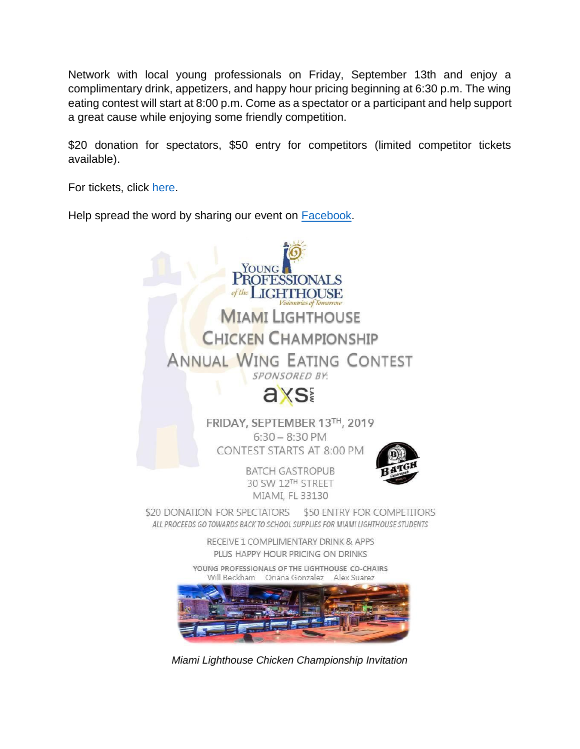Network with local young professionals on Friday, September 13th and enjoy a complimentary drink, appetizers, and happy hour pricing beginning at 6:30 p.m. The wing eating contest will start at 8:00 p.m. Come as a spectator or a participant and help support a great cause while enjoying some friendly competition.

\$20 donation for spectators, \$50 entry for competitors (limited competitor tickets available).

For tickets, click [here.](https://nam04.safelinks.protection.outlook.com/?url=http%3A%2F%2Fr20.rs6.net%2Ftn.jsp%3Ff%3D001Y1bADlv74FiMqvrhp_mwGRUjMrulEBZHZ4YxrND_5-v_N0BWyneF-ADpO__Bj-ryTm-ABMWuGeZFSO9e3YYqYjWgc73XGapkUwriTReS4BtMcukd_WdDP7z8hip2_dHtjTEGBN3gWA7HI7bYtujlU-PBBg7UHIT6d9skayVUAC8arK6tVGlf8rB87Ia3LovT7MIQmVC6FobRgIfJhQ8SwDIjlRPfFjwvtdgl4dTfTDa_e3noZ5mdeBDT9HMJiO0Pa-RymhFwLEWpc_j6VfRTYMzv0wNpekqx%26c%3DKbHd5thAe6aMFt596YOyDXZ4kTpVIa83PHpeEBGWvh3_FkNPMh82sw%3D%3D%26ch%3DgggmOB2ceKlJ4mI0yb8Ly_eFxeLV6YiWtKLqkp558j9FqRH5gFofGw%3D%3D&data=01%7C01%7C%7C35e126e302b04013dd7b08d73301f006%7C66a476e60da84cba906ec8bcb77c1683%7C0&sdata=8T6y%2BFmvNnYWUSf9sR884G1uwVic3o3OUw27wAhIWew%3D&reserved=0)

Help spread the word by sharing our event on **Facebook**.



*Miami Lighthouse Chicken Championship Invitation*